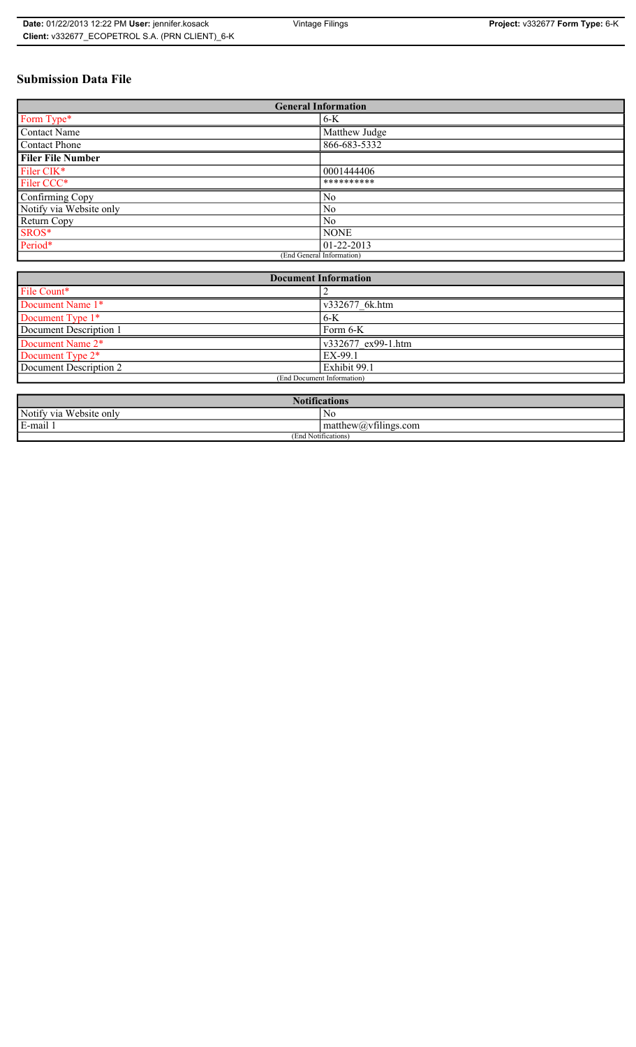# **Submission Data File**

| <b>General Information</b> |                |
|----------------------------|----------------|
| Form Type*                 | $6-K$          |
| Contact Name               | Matthew Judge  |
| Contact Phone              | 866-683-5332   |
| <b>Filer File Number</b>   |                |
| Filer CIK <sup>*</sup>     | 0001444406     |
| Filer CCC*                 | **********     |
| Confirming Copy            | No             |
| Notify via Website only    | N <sub>0</sub> |
| Return Copy                | N <sub>0</sub> |
| SROS*                      | <b>NONE</b>    |
| Period*                    | 01-22-2013     |
| (End General Information)  |                |

| <b>Document Information</b>  |                    |
|------------------------------|--------------------|
| File Count*                  |                    |
| Document Name 1*             | v332677 6k.htm     |
| Document Type 1*             | $6-K$              |
| Document Description 1       | Form 6-K           |
| Document Name 2*             | v332677 ex99-1.htm |
| Document Type 2 <sup>*</sup> | EX-99.1            |
| Document Description 2       | Exhibit 99.1       |
| (End Document Information)   |                    |
|                              |                    |

| <b>Notifications</b>    |                                             |
|-------------------------|---------------------------------------------|
| Notify via Website only | No                                          |
| E-mail                  | $-$<br>$ $ matthew( <i>a</i> ) vtilings.com |
| (End Notifications)     |                                             |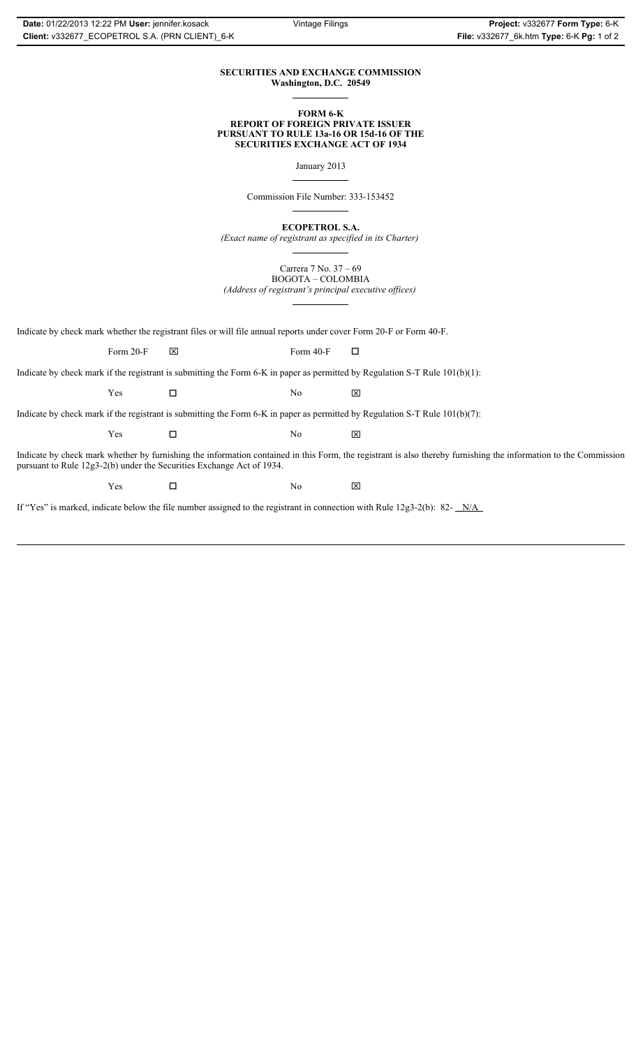### **SECURITIES AND EXCHANGE COMMISSION Washington, D.C. 20549**

### **FORM 6-K REPORT OF FOREIGN PRIVATE ISSUER PURSUANT TO RULE 13a-16 OR 15d-16 OF THE SECURITIES EXCHANGE ACT OF 1934**

January 2013

Commission File Number: 333-153452

**ECOPETROL S.A.**

*(Exact name of registrant as specified in its Charter)*

Carrera 7 No. 37 – 69 BOGOTA – COLOMBIA

*(Address of registrant's principal executive offices)*

Indicate by check mark whether the registrant files or will file annual reports under cover Form 20-F or Form 40-F.

Form 20-F  $\boxtimes$  Form 40-F  $\Box$ 

Indicate by check mark if the registrant is submitting the Form 6-K in paper as permitted by Regulation S-T Rule 101(b)(1):

 $Yes$   $\Box$   $No$   $X$ 

Indicate by check mark if the registrant is submitting the Form 6-K in paper as permitted by Regulation S-T Rule 101(b)(7):

 $Yes$   $\Box$   $No$   $X$ 

Indicate by check mark whether by furnishing the information contained in this Form, the registrant is also thereby furnishing the information to the Commission pursuant to Rule 12g3-2(b) under the Securities Exchange Act of 1934.

 $Yes$   $\square$ 

If "Yes" is marked, indicate below the file number assigned to the registrant in connection with Rule 12g3-2(b): 82- N/A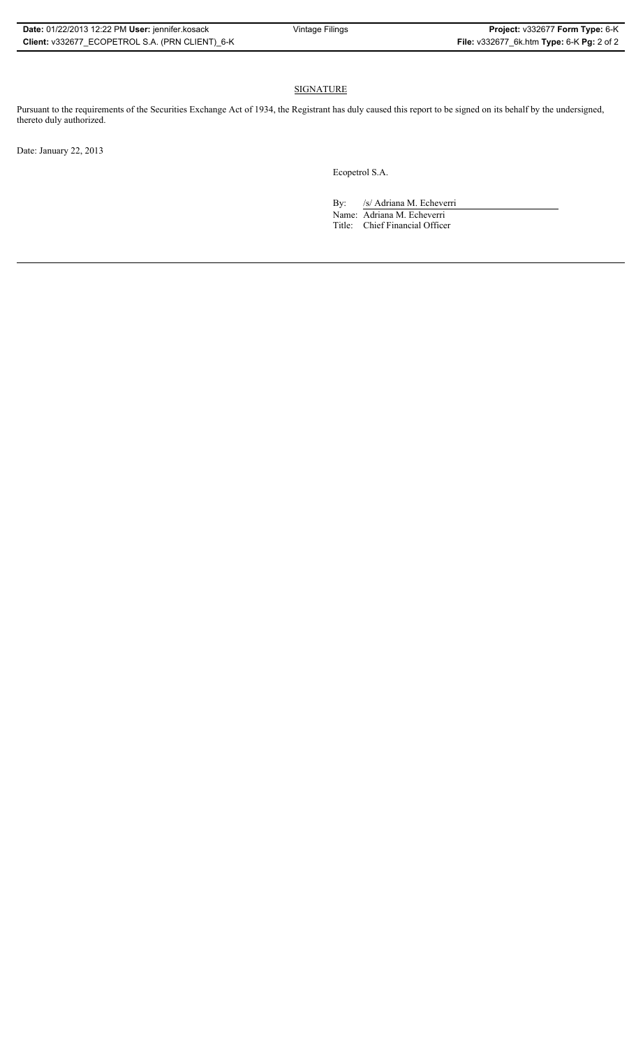## SIGNATURE

Pursuant to the requirements of the Securities Exchange Act of 1934, the Registrant has duly caused this report to be signed on its behalf by the undersigned, thereto duly authorized.

Date: January 22, 2013

Ecopetrol S.A.

By: /s/ Adriana M. Echeverri

Name: Adriana M. Echeverri Title: Chief Financial Officer